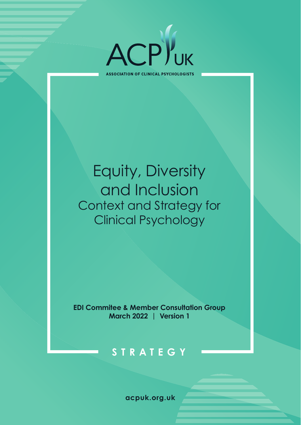

**ASSOCIATION OF CLINICAL PSYCHOLOGISTS** 

# Equity, Diversity and Inclusion Context and Strategy for Clinical Psychology

**EDI Commitee & Member Consultation Group March 2022 | Version 1**

## **STRATEGY**

**acpuk.org.uk**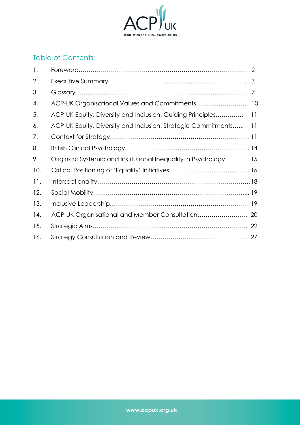

## Table of Contents

| 1.  |                                                                   |                 |
|-----|-------------------------------------------------------------------|-----------------|
| 2.  |                                                                   |                 |
| 3.  |                                                                   |                 |
| 4.  | ACP-UK Organisational Values and Commitments 10                   |                 |
| 5.  | ACP-UK Equity, Diversity and Inclusion: Guiding Principles        | 11              |
| 6.  | ACP-UK Equity, Diversity and Inclusion: Strategic Commitments     | $\overline{11}$ |
| 7.  |                                                                   |                 |
| 8.  |                                                                   |                 |
| 9.  | Origins of Systemic and Institutional Inequality in Psychology 15 |                 |
| 10. |                                                                   |                 |
| 11. |                                                                   |                 |
| 12. |                                                                   |                 |
| 13. |                                                                   |                 |
| 14. |                                                                   |                 |
| 15. |                                                                   | 22              |
| 16. |                                                                   |                 |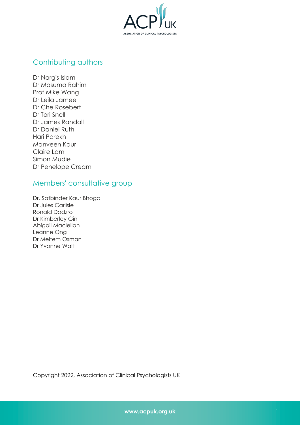

## [Contributing authors](#page-28-1)

[Dr Nargi](#page-28-1)s Islam Dr Masuma Rahim Prof Mike Wang Dr Leila Jameel Dr Che Rosebert Dr Tori Snell Dr James Randall Dr Daniel Ruth Hari Parekh Manveen Kaur Claire Lam Simon Mudie Dr Penelope Cream

## Members' consultative group

Dr. Satbinder Kaur Bhogal Dr Jules Carlisle Ronald Dodzro Dr Kimberley Gin Abigail Maclellan Leanne Ong Dr Meltem Osman Dr Yvonne Waft

Copyright 2022, Association of Clinical Psychologists UK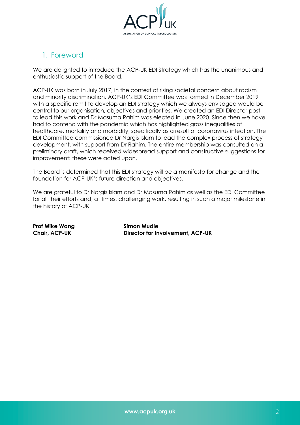

## <span id="page-3-0"></span>1. Foreword

We are delighted to introduce the ACP-UK EDI Strategy which has the unanimous and enthusiastic support of the Board.

ACP-UK was born in July 2017, in the context of rising societal concern about racism and minority discrimination. ACP-UK's EDI Committee was formed in December 2019 with a specific remit to develop an EDI strategy which we always envisaged would be central to our organisation, objectives and priorities. We created an EDI Director post to lead this work and Dr Masuma Rahim was elected in June 2020. Since then we have had to contend with the pandemic which has highlighted gross inequalities of healthcare, mortality and morbidity, specifically as a result of coronavirus infection. The EDI Committee commissioned Dr Nargis Islam to lead the complex process of strategy development, with support from Dr Rahim. The entire membership was consulted on a preliminary draft, which received widespread support and constructive suggestions for improvement: these were acted upon.

The Board is determined that this EDI strategy will be a manifesto for change and the foundation for ACP-UK's future direction and objectives.

We are arateful to Dr Narais Islam and Dr Masuma Rahim as well as the EDI Committee for all their efforts and, at times, challenging work, resulting in such a major milestone in the history of ACP-UK.

**Prof Mike Wang Simon Mudie**

**Chair, ACP-UK Director for Involvement, ACP-UK**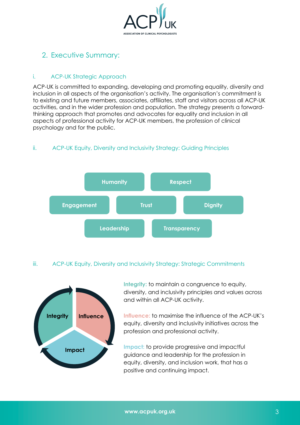

## <span id="page-4-0"></span>2. Executive Summary:

#### i. ACP-UK Strategic Approach

ACP-UK is committed to expanding, developing and promoting equality, diversity and inclusion in all aspects of the organisation's activity. The organisation's commitment is to existing and future members, associates, affiliates, staff and visitors across all ACP-UK activities, and in the wider profession and population. The strategy presents a forwardthinking approach that promotes and advocates for equality and inclusion in all aspects of professional activity for ACP-UK members, the profession of clinical psychology and for the public.

#### ii. ACP-UK Equity, Diversity and Inclusivity Strategy: Guiding Principles



#### iii. ACP-UK Equity, Diversity and Inclusivity Strategy: Strategic Commitments



**Integrity:** to maintain a congruence to equity, diversity, and inclusivity principles and values across and within all ACP-UK activity.

**Influence:** to maximise the influence of the ACP-UK's equity, diversity and inclusivity initiatives across the profession and professional activity.

**Impact:** to provide progressive and impactful guidance and leadership for the profession in equity, diversity, and inclusion work, that has a positive and continuing impact.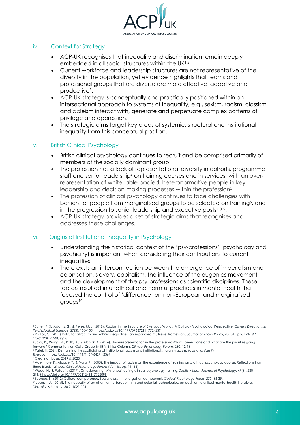

#### iv. Context for Strategy

- ACP-UK recognises that inequality and discrimination remain deeply embedded in all social structures within the UK<sup>1,2</sup>.
- Current workforce and leadership structures are not representative of the diversity in the population, yet evidence highlights that teams and professional groups that are diverse are more effective, adaptive and productive3.
- ACP-UK strategy is conceptually and practically positioned within an intersectional approach to systems of inequality, e.g., sexism, racism, classism and ableism interact with, generate and perpetuate complex patterns of privilege and oppression.
- The strategic aims target key areas of systemic, structural and institutional inequality from this conceptual position.

#### v. British Clinical Psychology

- British clinical psychology continues to recruit and be comprised primarily of members of the socially dominant group.
- The profession has a lack of representational diversity in cohorts, programme staff and senior leadership4 on training courses and in services, with an overrepresentation of white, able-bodied, heteronormative people in key leadership and decision-making processes within the profession<sup>5</sup>.
- The profession of clinical psychology continues to face challenges with barriers for people from marginalised groups to be selected on training<sup>6</sup>, and in the progression to senior leadership and executive posts<sup>789</sup>.
- ACP-UK strategy provides a set of strategic aims that recognises and addresses these challenges.

#### vi. Origins of Institutional Inequality in Psychology

- Understanding the historical context of the 'psy-professions' (psychology and psychiatry) is important when considering their contributions to current inequalities.
- There exists an interconnection between the emergence of imperialism and colonisation, slavery, capitalism, the influence of the eugenics movement and the development of the psy-professions as scientific disciplines. These factors resulted in unethical and harmful practices in mental health that focused the control of 'difference' on non-European and marginalised groups10.

<sup>&</sup>lt;sup>1</sup> Salter, P. S., Adams, G., & Perez, M. J. (2018). Racism in the Structure of Everyday Worlds: A Cultural-Psychological Perspective. Current Directions in<br>Psychological Science, 27(3), 150–155. https://doi.org/10.1177/09

<sup>2</sup> Phillips, C. (2011) Institutional racism and ethnic inequalities: an expanded multilevel framework. *Journal of Social Policy*, 40 (01). pp. 173-192. <sup>3</sup> *Ibid (PHE 2020), pg 8*

<sup>4</sup> Scior, K., Wang, M., Roth, A., & Alcock, K. (2016). Underrepresentation in the profession: What's been done and what are the priorities going forward? Commentary on Celia Grace Smith's Ethics Column. Clinical Psychology Forum, 280, 12-13<br>5 Patel, N. 2021. Dismantling the scaffolding of institutional racism and institutionalising anti-racism. Journal of Family

*Therapy.* https://doi.org/10.1111/1467-6427.12367 <sup>6</sup> Clearing House, 2019 & 2020

<sup>7</sup> Adetimole, F., Afuape, T., & Vara, R. (2005). The impact of racism on the experience of training on a clinical psychology course: Reflections from

three Black trainees. Clinical Psychology Forum (Vol. 48, pp. 11- 15)<br>8 Wood, N., & Patel, N. (2017). On addressing 'Whiteness' during clinical psychology training. South African Journal of Psychology, 47(3), 280– 291. https://doi.org/10.1177/0081246317722099

<sup>9</sup> Spence, N. (2012) Cultural competence: Social class – the forgotten component. *Clinical Psychology Forum 230*, 36-39.

<sup>10</sup> Joseph, A. (2015). The necessity of an attention to Eurocentrism and colonial technologies: an addition to critical mental health literature, *Disability & Society,* 30:7, 1021-1041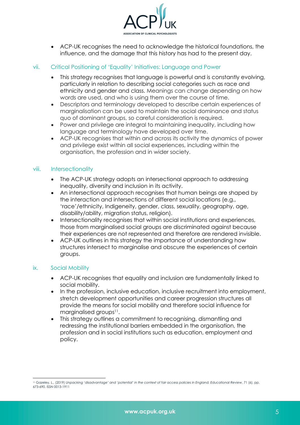

• ACP-UK recognises the need to acknowledge the historical foundations, the influence, and the damage that this history has had to the present day.

#### vii. Critical Positioning of 'Equality' Initiatives: Language and Power

- This strategy recognises that language is powerful and is constantly evolving, particularly in relation to describing social categories such as race and ethnicity and gender and class. Meanings can change depending on how words are used, and who is using them over the course of time.
- Descriptors and terminology developed to describe certain experiences of marginalisation can be used to maintain the social dominance and status quo of dominant groups, so careful consideration is required.
- Power and privilege are integral to maintaining inequality, including how language and terminology have developed over time.
- ACP-UK recognises that within and across its activity the dynamics of power and privilege exist within all social experiences, including within the organisation, the profession and in wider society.

#### viii. Intersectionality

- The ACP-UK strategy adopts an intersectional approach to addressing inequality, diversity and inclusion in its activity.
- An intersectional approach recognises that human beings are shaped by the interaction and intersections of different social locations (e.g., 'race'/ethnicity, Indigeneity, gender, class, sexuality, geography, age, disability/ability, migration status, religion).
- Intersectionality recognises that within social institutions and experiences, those from marginalised social groups are discriminated against because their experiences are not represented and therefore are rendered invisible.
- ACP-UK outlines in this strategy the importance of understanding how structures intersect to marginalise and obscure the experiences of certain groups.

#### ix. Social Mobility

- ACP-UK recognises that equality and inclusion are fundamentally linked to social mobility.
- In the profession, inclusive education, inclusive recruitment into employment, stretch development opportunities and career progression structures all provide the means for social mobility and therefore social influence for marginalised groups<sup>11</sup>.
- This strategy outlines a commitment to recognising, dismantling and redressing the institutional barriers embedded in the organisation, the profession and in social institutions such as education, employment and policy.

<sup>11</sup> Gazeley, L., (2019) *Unpacking 'disadvantage' and 'potential' in the context of fair access policies in England. Educational Review*, 71 (6). pp. 673-690. ISSN 0013-1911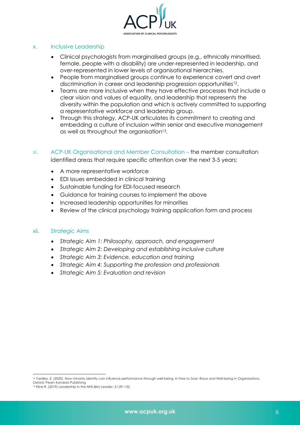

#### x. Inclusive Leadership

- Clinical psychologists from marginalised groups (e.g., ethnically minoritised, female, people with a disability) are under-represented in leadership, and over-represented in lower levels of organisational hierarchies.
- People from marginalised groups continue to experience covert and overt discrimination in career and leadership progression opportunities12.
- Teams are more inclusive when they have effective processes that include a clear vision and values of equality, and leadership that represents the diversity within the population and which is actively committed to supporting a representative workforce and leadership group.
- Through this strategy, ACP-UK articulates its commitment to creating and embedding a culture of inclusion within senior and executive management as well as throughout the organisation<sup>13</sup>.
- xi. ACP-UK Organisational and Member Consultation the member consultation identified areas that require specific attention over the next 3-5 years:
	- A more representative workforce
	- EDI issues embedded in clinical training
	- Sustainable funding for EDI-focused research
	- Guidance for training courses to implement the above
	- Increased leadership opportunities for minorities
	- Review of the clinical psychology training application form and process

#### xii. Strategic Aims

- *Strategic Aim 1: Philosophy, approach, and engagement*
- *Strategic Aim 2: Developing and establishing inclusive culture*
- *Strategic Aim 3: Evidence, education and training*
- *Strategic Aim 4: Supporting the profession and professionals*
- *Strategic Aim 5: Evaluation and revision*

<sup>12</sup> Yardley, E. (2020). How minority identity can influence performance through well-being. In *Free to Soar: Race and Well-being in Organisations*, Oxford: Pearn Kandola Publishing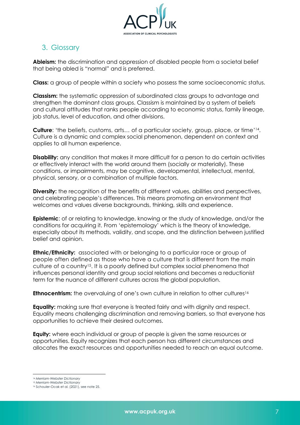

## <span id="page-8-0"></span>3. Glossary

**Ableism:** the discrimination and oppression of disabled people from a societal belief that being abled is "normal" and is preferred.

**Class:** a group of people within a society who possess the same socioeconomic status.

**Classism:** the systematic oppression of subordinated class groups to advantage and strengthen the dominant class groups. Classism is maintained by a system of beliefs and cultural attitudes that ranks people according to economic status, family lineage, job status, level of education, and other divisions.

**Culture**: 'the beliefs, customs, arts… of a particular society, group, place, or time'14. Culture is a dynamic and complex social phenomenon, dependent on context and applies to all human experience.

**Disability:** any condition that makes it more difficult for a person to do certain activities or effectively interact with the world around them (socially or materially). These conditions, or impairments, may be cognitive, developmental, intellectual, mental, physical, sensory, or a combination of multiple factors.

**Diversity:** the recognition of the benefits of different values, abilities and perspectives, and celebrating people's differences. This means promoting an environment that welcomes and values diverse backgrounds, thinking, skills and experience.

**Epistemic**: of or relating to knowledge, knowing or the study of knowledge, and/or the conditions for acquiring it. From 'epistemology' which is the theory of knowledge, especially about its methods, validity, and scope, and the distinction between justified belief and opinion.

**Ethnic/Ethnicity:** associated with or belonging to a particular race or group of people often defined as those who have a culture that is different from the main culture of a country15. It is a poorly defined but complex social phenomena that influences personal identity and group social relations and becomes a reductionist term for the nuance of different cultures across the global population.

**Ethnocentrism:** the overvaluing of one's own culture in relation to other cultures<sup>16</sup>

**Equality:** making sure that everyone is treated fairly and with dignity and respect. Equality means challenging discrimination and removing barriers, so that everyone has opportunities to achieve their desired outcomes.

**Equity:** where each individual or group of people is given the same resources or opportunities. Equity recognizes that each person has different circumstances and allocates the exact resources and opportunities needed to reach an equal outcome.

<sup>14</sup> *Merriam-Webster Dictionary* <sup>15</sup> *Merriam-Webster Dictionary*

<sup>16</sup> Schouler-Ocak et al. (2021), see note 25.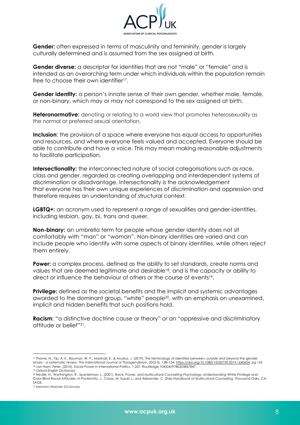

**Gender:** often expressed in terms of masculinity and femininity, gender is largely culturally determined and is assumed from the sex assigned at birth.

**Gender diverse:** a descriptor for identities that are not "male" or "female" and is intended as an overarching term under which individuals within the population remain free to choose their own identifier<sup>17</sup>.

**Gender identity:** a person's innate sense of their own gender, whether male, female, or non-binary, which may or may not correspond to the sex assigned at birth.

**Heteronormative:** denoting or relating to a world view that promotes heterosexuality as the normal or preferred sexual orientation.

**Inclusion**: the provision of a space where everyone has equal access to opportunities and resources, and where everyone feels valued and accepted. Everyone should be able to contribute and have a voice. This may mean making reasonable adjustments to facilitate participation.

**Intersectionality:** the interconnected nature of social categorisations such as race, class and gender, regarded as creating overlapping and interdependent systems of discrimination or disadvantage. Intersectionality is the acknowledgement that everyone has their own unique experiences of discrimination and oppression and therefore requires an understanding of structural context.

**LGBTQ+:** an acronym used to represent a range of sexualities and gender-identities, including lesbian, gay, bi, trans and queer.

**Non-binary:** an umbrella term for people whose gender identity does not sit comfortably with "man" or "woman". Non-binary identities are varied and can include people who identify with some aspects of binary identities, while others reject them entirely.

**Power:** a complex process, defined as the ability to set standards, create norms and values that are deemed legitimate and desirable<sup>18</sup>, and is the capacity or ability to direct or influence the behaviour of others or the course of events<sup>19</sup>.

**Privilege:** defined as the societal benefits and the implicit and systemic advantages awarded to the dominant group, "white" people<sup>20</sup>, with an emphasis on unexamined, implicit and hidden benefits that such positions hold.

**Racism**: "a distinctive doctrine cause or theory" or an "oppressive and discriminatory attitude or belief"21.

<sup>&</sup>lt;sup>17</sup> Thorne, N., Yip, A. K., Bouman, W. P., Marshall, E., & Arcelus, J. (2019). The terminology of identities between, outside and beyond the gender binary - a systematic review. *The International Journal of Transgenderism*, *20*(2-3), 138–154. https://doi.org/10.1080/15532739.2019.1640654, pg 155 <sup>18</sup> van Ham, Peter. (2010). Social Power in International Politics. 1-257. Routledge 104324/9780203857847.

<sup>19</sup> *Oxford English Dictionary*

<sup>20</sup> Neville, H., Worthington, R., Spanierman, L. (2001). Race, Power, and Multicultural Counseling Psychology: Understanding White Privilege and Color Blind Racial Attitudes. In Ponterotto, J., Casas, M, Suzuki, L, and Alexander, C. (Eds) *Handbook of Multicultural Counseling*, Thousand Oaks, CA: SAGE.

<sup>21</sup> *Merriam-Webster Dictionary*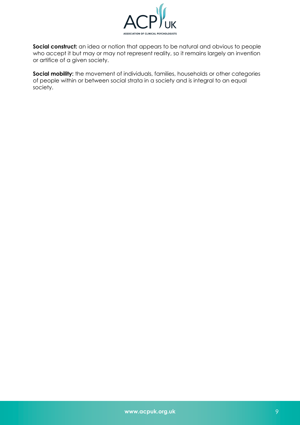

**Social construct:** an idea or notion that appears to be natural and obvious to people who accept it but may or may not represent reality, so it remains largely an invention or artifice of a given society.

**Social mobility:** the movement of individuals, families, households or other categories of people within or between social strata in a society and is integral to an equal society.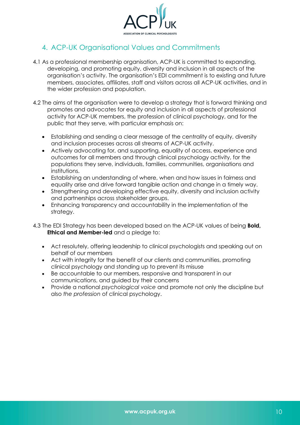

## <span id="page-11-0"></span>4. ACP-UK Organisational Values and Commitments

- 4.1 As a professional membership organisation, ACP-UK is committed to expanding, developing, and promoting equity, diversity and inclusion in all aspects of the organisation's activity. The organisation's EDI commitment is to existing and future members, associates, affiliates, staff and visitors across all ACP-UK activities, and in the wider profession and population.
- 4.2 The aims of the organisation were to develop a strategy that is forward thinking and promotes and advocates for equity and inclusion in all aspects of professional activity for ACP-UK members, the profession of clinical psychology, and for the public that they serve, with particular emphasis on:
	- Establishing and sending a clear message of the centrality of equity, diversity and inclusion processes across all streams of ACP-UK activity.
	- Actively advocating for, and supporting, equality of access, experience and outcomes for all members and through clinical psychology activity, for the populations they serve, individuals, families, communities, organisations and institutions.
	- Establishing an understanding of where, when and how issues in fairness and equality arise and drive forward tangible action and change in a timely way.
	- Strengthening and developing effective equity, diversity and inclusion activity and partnerships across stakeholder groups.
	- Enhancing transparency and accountability in the implementation of the strategy.
- 4.3 The EDI Strategy has been developed based on the ACP-UK values of being **Bold, Ethical and Member-led** and a pledge to:
	- Act resolutely, offering leadership to clinical psychologists and speaking out on behalf of our members
	- Act with integrity for the benefit of our clients and communities, promoting clinical psychology and standing up to prevent its misuse
	- Be accountable to our members, responsive and transparent in our communications, and guided by their concerns
	- Provide a national *psychological voice* and promote not only the discipline but also *the profession* of clinical psychology.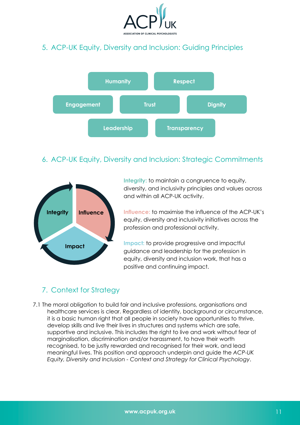

## <span id="page-12-0"></span>5. ACP-UK Equity, Diversity and Inclusion: Guiding Principles



## 6. ACP-UK Equity, Diversity and Inclusion: Strategic Commitments



**Integrity:** to maintain a congruence to equity, diversity, and inclusivity principles and values across and within all ACP-UK activity.

**Influence:** to maximise the influence of the ACP-UK's equity, diversity and inclusivity initiatives across the profession and professional activity.

**Impact:** to provide progressive and impactful guidance and leadership for the profession in equity, diversity and inclusion work, that has a positive and continuing impact.

## 7. Context for Strategy

7.1 The moral obligation to build fair and inclusive professions, organisations and healthcare services is clear. Regardless of identity, background or circumstance, it is a basic human right that all people in society have opportunities to thrive, develop skills and live their lives in structures and systems which are safe, supportive and inclusive. This includes the right to live and work without fear of marginalisation, discrimination and/or harassment, to have their worth recognised, to be justly rewarded and recognised for their work, and lead meaningful lives. This position and approach underpin and guide the *ACP-UK Equity, Diversity and Inclusion - Context and Strategy for Clinical Psychology*.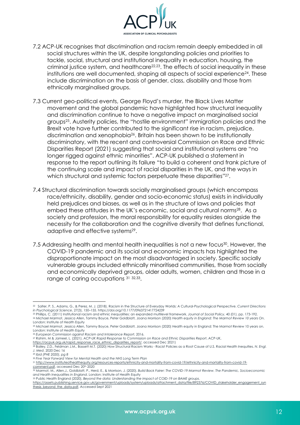

- 7.2 ACP-UK recognises that discrimination and racism remain deeply embedded in all social structures within the UK, despite longstanding policies and priorities to tackle, social, structural and institutional inequality in education, housing, the criminal justice system, and healthcare<sup>22,23</sup>. The effects of social inequality in these institutions are well documented, shaping all aspects of social experience<sup>24</sup>. These include discrimination on the basis of gender, class, disability and those from ethnically marginalised groups.
- 7.3 Current geo-political events, George Floyd's murder, the Black Lives Matter movement and the global pandemic have highlighted how structural inequality and discrimination continue to have a negative impact on marginalised social groups25. Austerity policies, the "hostile environment" immigration policies and the Brexit vote have further contributed to the significant rise in racism, prejudice, discrimination and xenophobia26. Britain has been shown to be institutionally discriminatory, with the recent and controversial Commission on Race and Ethnic Disparities Report (2021) suggesting that social and institutional systems are "no longer rigged against ethnic minorities". ACP-UK published a statement in response to the report outlining its failure "to build a coherent and frank picture of the continuing scale and impact of racial disparities in the UK, and the ways in which structural and systemic factors perpetuate these disparities"<sup>27</sup>.
- 7.4 Structural discrimination towards socially marginalised groups (which encompass race/ethnicity, disability, gender and socio-economic status) exists in individually held prejudices and biases, as well as in the structure of laws and policies that embed these attitudes in the UK's economic, social and cultural norms<sup>28</sup>. As a society and profession, the moral responsibility for equality resides alongside the necessity for the collaboration and the cognitive diversity that defines functional, adaptive and effective systems29.
- 7.5 Addressing health and mental health inequalities is not a new focus<sup>30</sup>. However, the COVID-19 pandemic and its social and economic impacts has highlighted the disproportionate impact on the most disadvantaged in society. Specific socially vulnerable groups included ethnically minoritised communities, those from socially and economically deprived groups, older adults, women, children and those in a range of caring occupations 31 32,33.

<sup>26</sup> *European Commission against Racism and Intolerance Report*, 2016.

<sup>22</sup> Salter, P. S., Adams, G., & Perez, M. J. (2018). Racism in the Structure of Everyday Worlds: A Cultural-Psychological Perspective. *Current Directions in Psychological Science*, 27(3), 150–155. https://doi.org/10.1177/0963721417724239

<sup>23</sup> Phillips, C. (2011) Institutional racism and ethnic inequalities: an expanded multilevel framework. *Journal of Social Policy*, 40 (01). pp. 173-192. <sup>24</sup> Michael Marmot, Jessica Allen, Tammy Boyce, Peter Goldblatt, Joana Morrison (2020) *Health equity in England: The Marmot Review 10 years On*. London: Institute of Health Equity

<sup>25</sup> Michael Marmot, Jessica Allen, Tammy Boyce, Peter Goldblatt, Joana Morrison (2020) Health equity in England: The Marmot Review 10 years on.<br>London: Institute of Health Equity

<sup>27</sup> Rahim, M & Jameel, L. (2021). *ACP-UK Rapid Response to Commission on Race and Ethnic Disparities Report*, ACP-UK,

https://acpuk.org.uk/rapid\_response\_race\_ethnic\_disparities\_report/, accessed Dec 2021)

<sup>28</sup> Bailey, Z.D., Feldman J.M., Bassett M.T. (2020) How Structural Racism Works - Racist Policies as a Root Cause of U.S. Racial Health Inequities. *N. Engl. J. Med*. 2020 Dec 16

<sup>29</sup> *Ibid (PHE 2020), pg 8*

<sup>30</sup> *Five Year Forward View for Mental Health and the NHS Long Term Plan*

<sup>31</sup> http://www.instituteofhealthequity.org/resources-reports/ethnicity-and-mortality-from-covid-19/ethnicity-and-mortality-from-covid-19-

comment.pdf, accessed Dec 20th 2020

<sup>32</sup> Marmot, M., Allen,J., Goldblatt, P., Herd, E., & Morrison, J. (2020). *Build Back Fairer: The COVID-19 Marmot Review. The Pandemic, Socioeconomic and Health Inequalities in England*. London: Institute of Health Equity <sup>33</sup> Public Health England (2020), *Beyond the data: Understanding the impact of COID-19 on BAME groups*.

https://assets.publishing.service.gov.uk/government/uploads/system/uploads/attachment\_data/file/892376/COVID\_stakeholder\_engagement\_syn thesis\_beyond\_the\_data.pdf. Accessed Sept 2021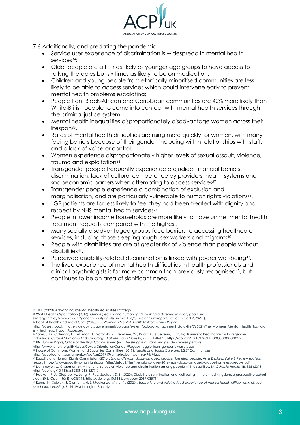

7.6 Additionally, and predating the pandemic

- Service user experience of discrimination is widespread in mental health services<sup>34</sup>:
- Older people are a fifth as likely as younger age groups to have access to talking therapies but six times as likely to be on medication.
- Children and young people from ethnically minoritised communities are less likely to be able to access services which could intervene early to prevent mental health problems escalating;
- People from Black-African and Caribbean communities are 40% more likely than White-British people to come into contact with mental health services through the criminal justice system;
- Mental health inequalities disproportionately disadvantage women across their lifespan<sup>35</sup>.
- Rates of mental health difficulties are rising more quickly for women, with many facing barriers because of their gender, including within relationships with staff, and a lack of voice or control.
- Women experience disproportionately higher levels of sexual assault, violence, trauma and exploitation<sup>36</sup>.
- Transgender people frequently experience prejudice, financial barriers, discrimination, lack of cultural competence by providers, health systems and socioeconomic barriers when attempting to access services<sup>37</sup>.
- Transgender people experience a combination of exclusion and marginalisation, and are particularly vulnerable to human rights violations<sup>38</sup>.
- LGB patients are far less likely to feel they had been treated with dignity and respect by NHS mental health services<sup>39</sup>.
- People in lower income households are more likely to have unmet mental health treatment requests compared with the highest.
- Many socially disadvantaged groups face barriers to accessing healthcare services, including those sleeping rough, sex workers and migrants<sup>40</sup>.
- People with disabilities are are at greater risk of violence than people without disabilities41.
- Perceived disability-related discrimination is linked with poorer well-being42.
- The lived experience of mental health difficulties in health professionals and clinical psychologists is far more common than previously recognised43, but continues to be an area of significant need.

<sup>35</sup> World Health Organization (2016). *Gender, equity and human rights, making a difference: vision, goals and strategy*, https://www.who.int/gender-equity-rights/knowledge/GER-biennium-report.pdf (accessed 20/8/21).

37 Safer, J. D., Coleman, E., Feldman, J., Garofalo, R., Hembree, W., Radix, A., & Sevelius, J. (2016). Barriers to healthcare for transgender individuals. *Current Opinion in Endocrinology, Diabetes, and Obesity*, *23*(2), 168–171. https://doi.org/10.1097/MED.0000000000000227 <sup>38</sup> UN Human Rights, Office of the High Commissioner (nd) *The struggle of trans and gender-diverse persons*.

https://www.ohchr.org/EN/Issues/SexualOrientationGender/Pages/struggle-trans-gender-diverse.aspx<br>39 House of Commons, Women and Equalities Committee (2019), *Health and Social Care and LGBT Communities*. https://publications.parliament.uk/pa/cm201919/cmselect/cmwomeq/94/94.pdf

<sup>34</sup> HEE (2020) Advancing mental health equalities strategy

<sup>36</sup> Dept of Health and Social Care (2018) *The Women's Mental Health Taskforce Final Report*.

https://assets.publishing.service.gov.uk/government/uploads/system/uploads/attachment\_data/file/765821/The\_Womens\_Mental\_Health\_Taskforc e - final report1.pdf (Accessed

<sup>40</sup> Equality and Human Rights Commission (2016). *England's most disadvantaged groups: Homeless people. An Is England Fairer? Review spotlight report.* https://www.equalityhumanrights.com/sites/default/files/is-england-fairer-2016-most-disadvantaged-groups-homeless-people.pdf <sup>41</sup> Dammeyer, J., Chapman, M. A national survey on violence and discrimination among people with disabilities. *BMC Public Health* **18,** 355 (2018). https://doi.org/10.1186/s12889-018-5277-0

<sup>42</sup> Hackett, R. A., Steptoe, A., Lang, R. P., & Jackson, S. E. (2020). Disability discrimination and well-being in the United Kingdom: a prospective cohort study. BMJ Open, 10(3), e035714. https://doi.org/10.1136/bmjopen-2019-035714<br><sup>43</sup> Kemp, N., Scior, K. & Clements, H. & Mackenzie-White, K.. (2020). Supporting and valuing lived experience of mental health difficulties in c

*psychology training*. British Psychological Society.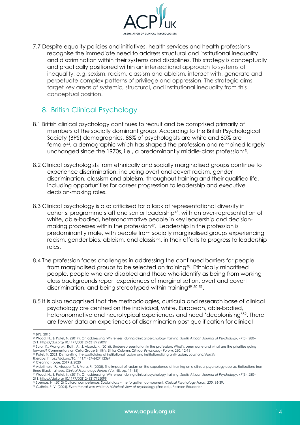

<span id="page-15-0"></span>7.7 Despite equality policies and initiatives, health services and health professions recognise the immediate need to address structural and institutional inequality and discrimination within their systems and disciplines. This strategy is conceptually and practically positioned within an intersectional approach to systems of inequality, e.g. sexism, racism, classism and ableism, interact with, generate and perpetuate complex patterns of privilege and oppression. The strategic aims target key areas of systemic, structural, and institutional inequality from this conceptual position.

## 8. British Clinical Psychology

- 8.1 British clinical psychology continues to recruit and be comprised primarily of members of the socially dominant group. According to the British Psychological Society (BPS) demographics, 88% of psychologists are white and 80% are female44, a demographic which has shaped the profession and remained largely unchanged since the 1970s, i.e., a predominantly middle-class profession<sup>45</sup>.
- 8.2 Clinical psychologists from ethnically and socially marginalised groups continue to experience discrimination, including overt and covert racism, gender discrimination, classism and ableism, throughout training and their qualified life, including opportunities for career progression to leadership and executive decision-making roles.
- 8.3 Clinical psychology is also criticised for a lack of representational diversity in cohorts, programme staff and senior leadership46, with an over-representation of white, able-bodied, heteronormative people in key leadership and decisionmaking processes within the profession<sup>47</sup>. Leadership in the profession is predominantly male, with people from socially marginalised groups experiencing racism, gender bias, ableism, and classism, in their efforts to progress to leadership roles.
- 8.4 The profession faces challenges in addressing the continued barriers for people from marginalised groups to be selected on training48. Ethnically minoritised people, people who are disabled and those who identify as being from working class backgrounds report experiences of marginalisation, overt and covert discrimination, and being stereotyped within training49 <sup>50</sup> 51.
- 8.5 It is also recognised that the methodologies, curricula and research base of clinical psychology are centred on the individual, white, European, able-bodied, heteronormative and neurotypical experiences and need 'decolonising'<sup>52</sup>. There are fewer data on experiences of discrimination post qualification for clinical

*Therapy.* https://doi.org/10.1111/1467-6427.12367 <sup>48</sup> Clearing House, 2019 & 2020

<sup>44</sup> BPS, 2015,

<sup>45</sup> Wood, N., & Patel, N. (2017). On addressing 'Whiteness' during clinical psychology training. *South African Journal of Psychology*, *47*(3), 280– 291. https://doi.org/10.1177/0081246317722099

<sup>46</sup> Scior, K., Wang, M., Roth, A., & Alcock, K. (2016). Underrepresentation in the profession: What's been done and what are the priorities going<br>forward? Commentary on Celia Grace Smith's Ethics Column. Clinical Psychology

<sup>47</sup> Patel, N. 2021. Dismantling the scaffolding of institutional racism and institutionalising anti-racism. *Journal of Family* 

<sup>49</sup> Adetimole, F., Afuape, T., & Vara, R. (2005). The impact of racism on the experience of training on a clinical psychology course: Reflections from three Black trainees. *Clinical Psychology Forum* (Vol. 48, pp. 11- 15)

<sup>50</sup> Wood, N., & Patel, N. (2017). On addressing 'Whiteness' during clinical psychology training. *South African Journal of Psychology*, *47*(3), 280– 291. https://doi.org/10.1177/0081246317722099 <sup>51</sup> Spence, N. (2012) Cultural competence: Social class – the forgotten component. *Clinical Psychology Forum 230*, 36-39.

<sup>52</sup> Guthrie, R. V. (2004). *Even the rat was white: A historical view of psychology* (2nd ed.). Pearson Education.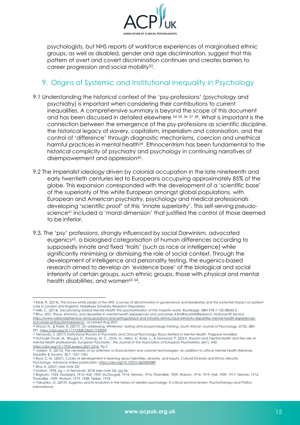

<span id="page-16-0"></span>psychologists, but NHS reports of workforce experiences of marginalised ethnic groups, as well as disabled, gender and age discrimination, suggest that this pattern of overt and covert discrimination continues and creates barriers to career progression and social mobility53.

## 9. Origins of Systemic and Institutional Inequality in Psychology

- 9.1 Understanding the historical context of the 'psy-professions' (psychology and psychiatry) is important when considering their contributions to current inequalities. A comprehensive summary is beyond the scope of this document and has been discussed in detailed elsewhere 54 <sup>55</sup> <sup>56</sup> <sup>57</sup> 58. What is important is the connection between the emergence of the psy-professions as scientific discipline, the historical legacy of slavery, capitalism, imperialism and colonisation, and the control of 'difference' through diagnostic mechanisms, coercion and unethical harmful practices in mental health<sup>59</sup>. Ethnocentrism has been fundamental to the historical complicity of psychiatry and psychology in continuing narratives of disempowerment and oppression<sup>60</sup>.
- 9.2 The imperialist ideology driven by colonial occupation in the late nineteenth and early twentieth centuries led to Europeans occupying approximately 85% of the globe. This expansion corresponded with the development of a 'scientific base' of the superiority of the white European amongst global populations, with European and American psychiatry, psychology and medical professionals developing 'scientific proof' of this 'innate superiority'. This self-serving pseudoscience<sup>61</sup> included a 'moral dimension' that justified the control of those deemed to be inferior.
- 9.3. The 'psy' professions, strongly influenced by social Darwinism, advocated eugenics<sup>62</sup>, a biologised categorisation of human differences according to supposedly innate and fixed 'traits' (such as race or intelligence) while significantly minimising or dismissing the role of social context. Through the development of intelligence and personality testing, the eugenics-based research aimed to develop an 'evidence base' of the biological and social inferiority of certain groups, such ethnic groups, those with physical and mental health disabilities, and women<sup>63 64</sup>.

54 Mills, C. (2014). Decolonizing Global Mental Health The psychiatrization of the majority world. Routledge. ISBN 978-1-135-08043-3. <sup>55</sup> Bhui, 2021, Race, ethnicity, and disparities in mental health experiences and outcomes #AntiRacistMHResearch, *National Elf Service* https://www.nationalelfservice.net/populations-and-settings/black-and-minority-ethnic/race-ethnicity-disparities-mental-health-experiences-

Thorndike, 1909; Watson, 1919, 1928; Yerkes, 1918

<sup>53</sup> Kline, R. (2014). The snowy white peaks of the NHS: a survey of discrimination in governance and leadership and the potential impact on patient *care in London and England*. Middlesex University Research Depository

outcomes-antiracistmhresearch/, accessed Aug 2021 <sup>56</sup> Wood, N., & Patel, N. (2017). On addressing 'Whiteness' during clinical psychology training. *South African Journal of Psychology*, *47*(3), 280– 291. https://doi.org/10.1177/0081246317722099

<sup>57</sup> Fernando, S. (2017) *Institutional Racism in Psychiatry and Clinical Psychology: Race Matters in Mental Health*. Palgrave McMillan

<sup>58</sup> Schouler-Ocak, M., Bhugra, D., Kastrup, M. C., Dom, G., Heinz, A., Küey, L., & Gorwood, P. (2021). Racism and mental health and the role of mental health professionals. *European Psychiatry : the Journal of the Association of European Psychiatrists*, *64*(1), e42. https://doi.org/10.1192/j.eurpsy.2021.2216, Pg 2

<sup>59</sup> Joseph, A. (2015). The necessity of an attention to Eurocentrism and colonial technologies: an addition to critical mental health literature, *Disability & Society,* 30:7, 1021-1041

<sup>60</sup> Byrd, C. M. (2021). Cycles of development in learning about identities, diversity, and equity. *Cultural Diversity and Ethnic Minority Psychology.* Advance online publication. https://doi.org/10.1037/cdp0000389

<sup>61</sup> Bhui. K. (2021) (see note 22)

<sup>62</sup> Galton, 1904, pg 1, in Fernando, 2018 (see note 24), pg 26. <sup>63</sup> Brigham, 1923; Goddard, 1912; Hall, 1909; McDougall, 1914; Terman, 1916; Thorndike, 1909; Watson, 1914, 1919, Hall, 1909, 1917; Terman, 1916;

<sup>64</sup> Yakushko, O. (2019). Eugenics and its evolution in the history of western psychology: A critical archival review. *Psychotherapy and Politics International*.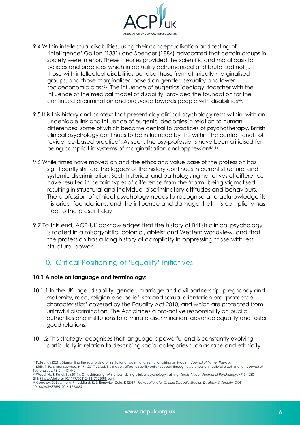

- <span id="page-17-0"></span>9.4 Within intellectual disabilities, using their conceptualisation and testing of 'intelligence' Galton (1881) and Spencer (1884) advocated that certain groups in society were inferior. These theories provided the scientific and moral basis for policies and practices which in actuality dehumanised and brutalised not just those with intellectual disabilities but also those from ethnically marginalised groups, and those marginalised based on gender, sexuality and lower socioeconomic class<sup>65</sup>. The influence of eugenics ideology, together with the influence of the medical model of disability, provided the foundation for the continued discrimination and prejudice towards people with disabilities<sup>66</sup>.
- 9.5 It is this history and context that present-day clinical psychology rests within, with an undeniable link and influence of eugenic ideologies in relation to human differences, some of which became central to practices of psychotherapy. British clinical psychology continues to be influenced by this within the central tenets of 'evidence-based practice'. As such, the psy-professions have been criticised for being complicit in systems of marginalisation and oppression<sup>67</sup> 68.
- 9.6 While times have moved on and the ethos and value base of the profession has significantly shifted, the legacy of the history continues in current structural and systemic discrimination. Such historical and pathologising narratives of difference have resulted in certain types of difference from the 'norm' being stigmatised, resulting in structural and individual discriminatory attitudes and behaviours. The profession of clinical psychology needs to recognise and acknowledge its historical foundations, and the influence and damage that this complicity has had to the present day.
- 9.7 To this end, ACP-UK acknowledges that the history of British clinical psychology is rooted in a misogynistic, colonial, ableist and Western worldview, and that the profession has a long history of complicity in oppressing those with less structural power.

## 10. Critical Positioning of 'Equality' Initiatives

#### **10.1 A note on language and terminology:**

- 10.1.1 In the UK, age, disability, gender, marriage and civil partnership, pregnancy and maternity, race, religion and belief, sex and sexual orientation are 'protected characteristics' covered by the Equality Act 2010, and which are protected from unlawful discrimination. The Act places a pro-active responsibility on public authorities and institutions to eliminate discrimination, advance equality and foster good relations.
- 10.1.2 This strategy recognises that language is powerful and is constantly evolving, particularly in relation to describing social categories such as race and ethnicity

<sup>65</sup> Patel, N. (2021). Dismantling the scaffolding of institutional racism and institutionalising anti-racism. *Journal of Family Therapy*. <sup>66</sup> Dirth, T. P., & Branscombe, N. R. (2017). Disability models affect disability policy support through awareness of structural discrimination. *Journal of Social Issues*, *73*(2), 413-442.

<sup>67</sup> Wood, N., & Patel, N. (2017). On addressing 'Whiteness' during clinical psychology training. *South African Journal of Psychology*, *47*(3), 280– 291. https://doi.org/10.1177/0081246317722099 pg x

<sup>68</sup> Goodley, D. Lawthom, R., Liddiard, K. & Runswick-Cole, K (2019) *Provocations for Critical Disability Studies, Disability & Society*, DOI: 10.1080/09687599.2019.1566889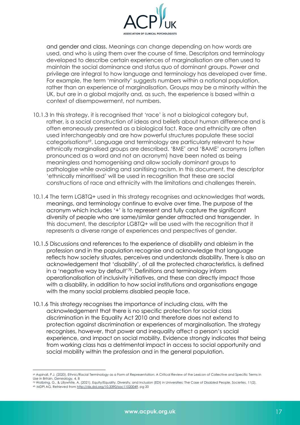

and gender and class. Meanings can change depending on how words are used, and who is using them over the course of time. Descriptors and terminology developed to describe certain experiences of marginalisation are often used to maintain the social dominance and status quo of dominant groups. Power and privilege are integral to how language and terminology has developed over time. For example, the term 'minority' suggests numbers within a national population, rather than an experience of marginalisation. Groups may be a minority within the UK, but are in a global majority and, as such, the experience is based within a context of disempowerment, not numbers.

- 10.1.3 In this strategy, it is recognised that 'race' is not a biological category but, rather, is a social construction of ideas and beliefs about human difference and is often erroneously presented as a biological fact. Race and ethnicity are often used interchangeably and are how powerful structures populate these social categorisations<sup>69</sup>. Language and terminology are particularly relevant to how ethnically marginalised groups are described. 'BME' and 'BAME' acronyms (often pronounced as a word and not an acronym) have been noted as being meaningless and homogenising and allow socially dominant groups to pathologise while avoiding and sanitising racism. In this document, the descriptor 'ethnically minoritised' will be used in recognition that these are social constructions of race and ethnicity with the limitations and challenges therein.
- 10.1.4 The term LGBTQ+ used in this strategy recognises and acknowledges that words, meanings, and terminology continue to evolve over time. The purpose of the acronym which includes '+' is to represent and fully capture the significant diversity of people who are same/similar gender attracted and transgender. In this document, the descriptor LGBTQ+ will be used with the recognition that it represents a diverse range of experiences and perspectives of gender.
- 10.1.5 Discussions and references to the experience of disability and ableism in the profession and in the population recognise and acknowledge that language reflects how society situates, perceives and understands disability. There is also an acknowledgement that 'disability', of all the protected characteristics, is defined in a 'negative way by default'70. Definitions and terminology inform operationalisation of inclusivity initiatives, and these can directly impact those with a disability, in addition to how social institutions and organisations engage with the many social problems disabled people face.
- 10.1.6 This strategy recognises the importance of including class, with the acknowledgement that there is no specific protection for social class discrimination in the Equality Act 2010 and therefore does not extend to protection against discrimination or experiences of marginalisation. The strategy recognises, however, that power and inequality affect a person's social experience, and impact on social mobility. Evidence strongly indicates that being from working class has a detrimental impact in access to social opportunity and social mobility within the profession and in the general population.

<sup>69</sup> Aspinall, P.J. (2020). Ethnic/Racial Terminology as a Form of Representation: A Critical Review of the Lexicon of Collective and Specific Terms in Use in Britain. *Genealogy,* 4*,* 8

<sup>&</sup>lt;sup>70</sup> Wolbring, G., & Lillywhite, A. (2021). Equity/Equality, Diversity, and Inclusion (EDI) in Universities: The Case of Disabled People. Societies, 11(2), <sup>20</sup> Wolbring, G., & Lillywhite, A. (2021). Equity/Equality, Diver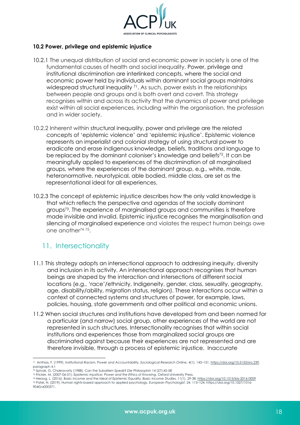

#### <span id="page-19-0"></span>**10.2 Power, privilege and epistemic injustice**

- 10.2.1 The unequal distribution of social and economic power in society is one of the fundamental causes of health and social inequality. Power, privilege and institutional discrimination are interlinked concepts, where the social and economic power held by individuals within dominant social groups maintains widespread structural inequality <sup>71</sup>. As such, power exists in the relationships between people and groups and is both overt and covert. This strategy recognises within and across its activity that the dynamics of power and privilege exist within all social experiences, including within the organisation, the profession and in wider society.
- 10.2.2 Inherent within structural inequality, power and privilege are the related concepts of 'epistemic violence' and 'epistemic injustice'. Epistemic violence represents an imperialist and colonial strategy of using structural power to eradicate and erase indigenous knowledge, beliefs, traditions and language to be replaced by the dominant coloniser's knowledge and beliefs<sup>72</sup>. It can be meaningfully applied to experiences of the discrimination of all marginalised groups, where the experiences of the dominant group, e.g., white, male, heteronormative, neurotypical, able bodied, middle class, are set as the representational ideal for all experiences.
- 10.2.3 The concept of epistemic injustice describes how the only valid knowledge is that which reflects the perspective and agendas of the socially dominant groups73. The experience of marginalised groups and communities is therefore made invisible and invalid. Epistemic injustice recognises the marginalisation and silencing of marginalised experience and violates the respect human beings owe one another74 75.

## 11. Intersectionality

- 11.1 This strategy adopts an intersectional approach to addressing inequity, diversity and inclusion in its activity. An intersectional approach recognises that human beings are shaped by the interaction and intersections of different social locations (e.g., 'race'/ethnicity, Indigeneity, gender, class, sexuality, geography, age, disability/ability, migration status, religion). These interactions occur within a context of connected systems and structures of power, for example, laws, policies, housing, state governments and other political and economic unions.
- 11.2 When social structures and institutions have developed from and been normed for a particular (and narrow) social group, other experiences of the world are not represented in such structures. Intersectionality recognises that within social institutions and experiences those from marginalized social groups are discriminated against because their experiences are not represented and are therefore invisible, through a process of epistemic injustice. Inaccurate

<sup>71</sup> Anthias, F. (1999). Institutional Racism, Power and Accountability. *Sociological Research Online*, 4(1), 143–151. https://doi.org/10.5153/sro.239, paragraph 4.1 <sup>72</sup> Spivak, G. Chakravorty (1988). Can the Subaltern Speak? *Die Philosophin* 14 (27):42-58

<sup>&</sup>lt;sup>73</sup> Fricker, M. (2007-06-01). Epistemic Injustice: Power and the Ethics of Knowing. Oxford University Press.<br><sup>74</sup> Herzog, L. (2016). Basic Income and the Ideal of Epistemic Equality. Basic Income Studies, 11(1), 29-38. ht

<sup>75</sup> Patel, N. (2019). Human rights-based approach to applied psychology. *European Psychologist*, 24, 113–124. https://doi.org/10.1027/1016- 9040/a000371.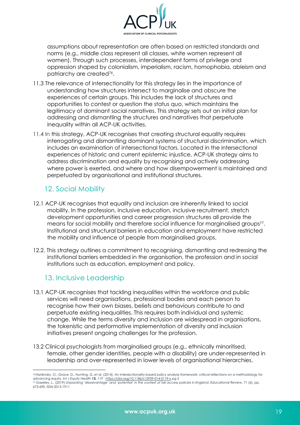

<span id="page-20-0"></span>assumptions about representation are often based on restricted standards and norms (e.g., middle class represent all classes, white women represent all women). Through such processes, interdependent forms of privilege and oppression shaped by colonialism, imperialism, racism, homophobia, ableism and patriarchy are created76.

- 11.3 The relevance of intersectionality for this strategy lies in the importance of understanding how structures intersect to marginalise and obscure the experiences of certain groups. This includes the lack of structures and opportunities to contest or question the status quo, which maintains the legitimacy of dominant social narratives. This strategy sets out an initial plan for addressing and dismantling the structures and narratives that perpetuate inequality within all ACP-UK activities.
- 11.4 In this strategy, ACP-UK recognises that creating structural equality requires interrogating and dismantling dominant systems of structural discrimination, which includes an examination of intersectional factors. Located in the intersectional experiences of historic and current epistemic injustice, ACP-UK strategy aims to address discrimination and equality by recognising and actively addressing where power is exerted, and where and how disempowerment is maintained and perpetuated by organisational and institutional structures.

## 12. Social Mobility

- 12.1 ACP-UK recognises that equality and inclusion are inherently linked to social mobility. In the profession, inclusive education, inclusive recruitment, stretch development opportunities and career progression structures all provide the means for social mobility and therefore social influence for marginalised groups77. Institutional and structural barriers in education and employment have restricted the mobility and influence of people from marginalised groups.
- 12.2. This strategy outlines a commitment to recognising, dismantling and redressing the institutional barriers embedded in the organisation, the profession and in social institutions such as education, employment and policy.

## 13. Inclusive Leadership

- 13.1 ACP-UK recognises that tackling inequalities within the workforce and public services will need organisations, professional bodies and each person to recognise how their own biases, beliefs and behaviours contribute to and perpetuate existing inequalities. This requires both individual and systemic change. While the terms diversity and inclusion are widespread in organisations, the tokenistic and performative implementation of diversity and inclusion initiatives present ongoing challenges for the profession.
- 13.2 Clinical psychologists from marginalised groups (e.g., ethnically minoritised, female, other gender identities, people with a disability) are under-represented in leadership and over-represented in lower levels of organisational hierarchies.

<sup>76</sup>Hankivsky, O., Grace, D., Hunting, G. *et al.* (2014). An intersectionality-based policy analysis framework: critical reflections on a methodology for advancing equity. *Int J Equity Health* **13,** 119 . https://doi.org/10.1186/s12939-014-0119-x pg 2 <sup>77</sup> Gazeley, L., (2019) *Unpacking 'disadvantage' and 'potential' in the context of fair access policies in England. Educational Review*, 71 (6). pp.

<sup>673-690.</sup> ISSN 0013-1911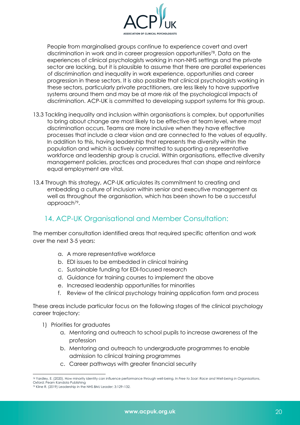

<span id="page-21-0"></span>People from marginalised groups continue to experience covert and overt discrimination in work and in career progression opportunities<sup>78</sup>. Data on the experiences of clinical psychologists working in non-NHS settings and the private sector are lacking, but it is plausible to assume that there are parallel experiences of discrimination and inequality in work experience, opportunities and career progression in these sectors. It is also possible that clinical psychologists working in these sectors, particularly private practitioners, are less likely to have supportive systems around them and may be at more risk of the psychological impacts of discrimination. ACP-UK is committed to developing support systems for this group.

- 13.3 Tackling inequality and inclusion within organisations is complex, but opportunities to bring about change are most likely to be effective at team level, where most discrimination occurs. Teams are more inclusive when they have effective processes that include a clear vision and are connected to the values of equality. In addition to this, having leadership that represents the diversity within the population and which is actively committed to supporting a representative workforce and leadership group is crucial. Within organisations, effective diversity management policies, practices and procedures that can shape and reinforce equal employment are vital.
- 13.4 Through this strategy, ACP-UK articulates its commitment to creating and embedding a culture of inclusion within senior and executive management as well as throughout the organisation, which has been shown to be a successful approach<sup>79</sup>.

## 14. ACP-UK Organisational and Member Consultation:

The member consultation identified areas that required specific attention and work over the next 3-5 years:

- a. A more representative workforce
- b. EDI issues to be embedded in clinical training
- c. Sustainable funding for EDI-focused research
- d. Guidance for training courses to implement the above
- e. Increased leadership opportunities for minorities
- f. Review of the clinical psychology training application form and process

These areas include particular focus on the following stages of the clinical psychology career trajectory:

- 1) Priorities for graduates
	- a. Mentoring and outreach to school pupils to increase awareness of the profession
	- b. Mentoring and outreach to undergraduate programmes to enable admission to clinical training programmes
	- c. Career pathways with greater financial security

<sup>78</sup> Yardley, E. (2020). How minority identity can influence performance through well-being. In *Free to Soar: Race and Well-being in Organisations*, Oxford: Pearn Kandola Publishing

<sup>79</sup> Kline R. (2019) Leadership in the NHS *BMJ Leader*; 3:129–132.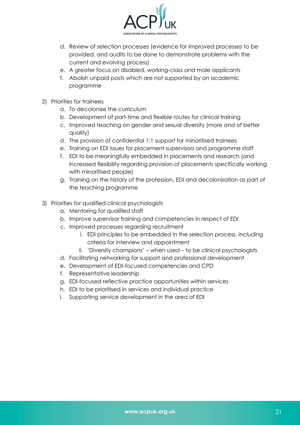

- d. Review of selection processes (evidence for improved processes to be provided, and audits to be done to demonstrate problems with the current and evolving process)
- e. A greater focus on disabled, working-class and male applicants
- f. Abolish unpaid posts which are not supported by an academic programme
- 2) Priorities for trainees
	- a. To decolonise the curriculum
	- b. Development of part-time and flexible routes for clinical training
	- c. Improved teaching on gender and sexual diversity (more and of better quality)
	- d. The provision of confidential 1:1 support for minoritised trainees
	- e. Training on EDI issues for placement supervisors and programme staff
	- f. EDI to be meaningfully embedded in placements and research (and increased flexibility regarding provision of placements specifically working with minoritised people)
	- g. Training on the history of the profession, EDI and decolonisation as part of the teaching programme
- 3) Priorities for qualified clinical psychologists
	- a. Mentoring for qualified staff
	- b. Improve supervisor training and competencies in respect of EDI
	- c. Improved processes regarding recruitment
		- i. EDI principles to be embedded in the selection process, including criteria for interview and appointment
		- ii. 'Diversity champions' when used to be clinical psychologists
	- d. Facilitating networking for support and professional development
	- e. Development of EDI-focused competencies and CPD
	- f. Representative leadership
	- g. EDI-focused reflective practice opportunities within services
	- h. EDI to be prioritised in services and individual practice
	- i. Supporting service development in the area of EDI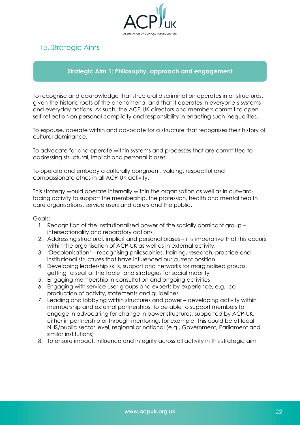

## <span id="page-23-0"></span>15. Strategic Aims

#### **Strategic Aim 1: Philosophy, approach and engagement**

To recognise and acknowledge that structural discrimination operates in all structures, given the historic roots of the phenomena, and that it operates in everyone's systems and everyday actions. As such, the ACP-UK directors and members commit to open self-reflection on personal complicity and responsibility in enacting such inequalities.

To espouse, operate within and advocate for a structure that recognises their history of cultural dominance.

To advocate for and operate within systems and processes that are committed to addressing structural, implicit and personal biases.

To operate and embody a culturally congruent, valuing, respectful and compassionate ethos in all ACP-UK activity.

This strategy would operate internally within the organisation as well as in outwardfacing activity to support the membership, the profession, health and mental health care organisations, service users and carers and the public.

- 1. Recognition of the institutionalised power of the socially dominant group intersectionality and reparatory actions
- 2. Addressing structural, implicit and personal biases it is imperative that this occurs within the organisation of ACP-UK as well as in external activity.
- 3. 'Decolonisation' recognising philosophies, training, research, practice and institutional structures that have influenced our current position
- 4. Developing leadership skills, support and networks for marginalised groups, getting 'a seat at the table' and strategies for social mobility
- 5. Engaging membership in consultation and ongoing activities
- 6. Engaging with service user groups and experts by experience, e.g., coproduction of activity, statements and guidelines
- 7. Leading and lobbying within structures and power developing activity within membership and external partnerships, to be able to support members to engage in advocating for change in power structures, supported by ACP-UK, either in partnership or through mentoring, for example. This could be at local NHS/public sector level, regional or national (e.g., Government, Parliament and similar institutions)
- 8. To ensure impact, influence and integrity across all activity in this strategic aim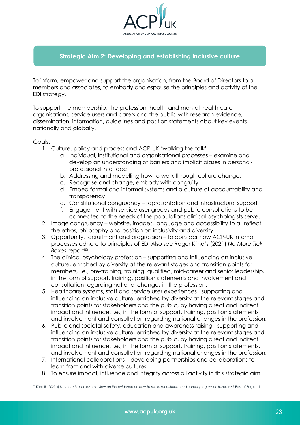

### **Strategic Aim 2: Developing and establishing inclusive culture**

To inform, empower and support the organisation, from the Board of Directors to all members and associates, to embody and espouse the principles and activity of the EDI strategy.

To support the membership, the profession, health and mental health care organisations, service users and carers and the public with research evidence, dissemination, information, guidelines and position statements about key events nationally and globally.

- 1. Culture, policy and process and ACP-UK 'walking the talk'
	- a. Individual, institutional and organisational processes examine and develop an understanding of barriers and implicit biases in personalprofessional interface
	- b. Addressing and modelling how to work through culture change,
	- c. Recognise and change, embody with congruity
	- d. Embed formal and informal systems and a culture of accountability and transparency
	- e. Constitutional congruency representation and infrastructural support
	- f. Engagement with service user groups and public consultations to be connected to the needs of the populations clinical psychologists serve.
- 2. Image congruency website, images, language and accessibility to all reflect the ethos, philosophy and position on inclusivity and diversity
- 3. Opportunity, recruitment and progression to consider how ACP-UK internal processes adhere to principles of EDI Also see Roger Kline's (2021) *No More Tick*  Boxes report<sup>80</sup>.
- 4. The clinical psychology profession supporting and influencing an inclusive culture, enriched by diversity at the relevant stages and transition points for members, i.e., pre-training, training, qualified, mid-career and senior leadership, in the form of support, training, position statements and involvement and consultation regarding national changes in the profession.
- 5. Healthcare systems, staff and service user experiences supporting and influencing an inclusive culture, enriched by diversity at the relevant stages and transition points for stakeholders and the public, by having direct and indirect impact and influence, i.e., in the form of support, training, position statements and involvement and consultation regarding national changes in the profession.
- 6. Public and societal safety, education and awareness raising supporting and influencing an inclusive culture, enriched by diversity at the relevant stages and transition points for stakeholders and the public, by having direct and indirect impact and influence, i.e., in the form of support, training, position statements, and involvement and consultation regarding national changes in the profession.
- 7. International collaborations developing partnerships and collaborations to learn from and with diverse cultures.
- 8. To ensure impact, influence and integrity across all activity in this strategic aim.

<sup>80</sup> Kline R (2021a) No more fick boxes: a review on the evidence on how to make recruitment and career progression fairer. NHS East of England.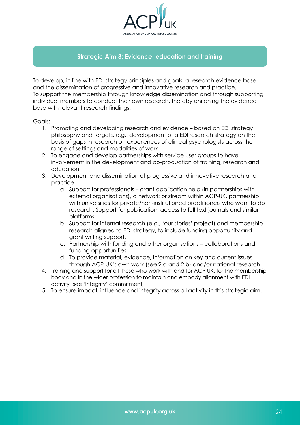

## **Strategic Aim 3: Evidence, education and training**

To develop, in line with EDI strategy principles and goals, a research evidence base and the dissemination of progressive and innovative research and practice. To support the membership through knowledge dissemination and through supporting individual members to conduct their own research, thereby enriching the evidence base with relevant research findings.

- 1. Promoting and developing research and evidence based on EDI strategy philosophy and targets, e.g., development of a EDI research strategy on the basis of gaps in research on experiences of clinical psychologists across the range of settings and modalities of work.
- 2. To engage and develop partnerships with service user groups to have involvement in the development and co-production of training, research and education.
- 3. Development and dissemination of progressive and innovative research and practice
	- a. Support for professionals grant application help (in partnerships with external organisations), a network or stream within ACP-UK, partnership with universities for private/non-institutioned practitioners who want to do research. Support for publication, access to full text journals and similar platforms.
	- b. Support for internal research (e.g., 'our stories' project) and membership research aligned to EDI strategy, to include funding opportunity and grant writing support.
	- c. Partnership with funding and other organisations collaborations and funding opportunities.
	- d. To provide material, evidence, information on key and current issues through ACP-UK's own work (see 2.a and 2.b) and/or national research.
- 4. Training and support for all those who work with and for ACP-UK, for the membership body and in the wider profession to maintain and embody alignment with EDI activity (see 'Integrity' commitment)
- 5. To ensure impact, influence and integrity across all activity in this strategic aim.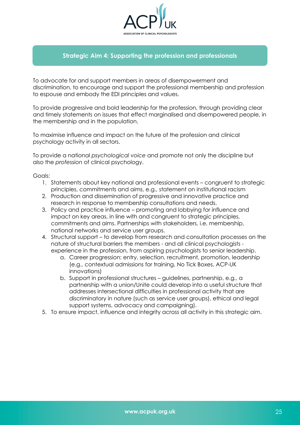

### **Strategic Aim 4: Supporting the profession and professionals**

To advocate for and support members in areas of disempowerment and discrimination, to encourage and support the professional membership and profession to espouse and embody the EDI principles and values.

To provide progressive and bold leadership for the profession, through providing clear and timely statements on issues that effect marginalised and disempowered people, in the membership and in the population.

To maximise influence and impact on the future of the profession and clinical psychology activity in all sectors.

To provide a national *psychological voice* and promote not only the discipline but also the *profession* of clinical psychology.

- 1. Statements about key national and professional events congruent to strategic principles, commitments and aims, e.g., statement on institutional racism
- 2. Production and dissemination of progressive and innovative practice and research in response to membership consultations and needs.
- 3. Policy and practice influence promoting and lobbying for influence and impact on key areas, in line with and congruent to strategic principles, commitments and aims. Partnerships with stakeholders, i.e. membership, national networks and service user groups.
- 4. Structural support to develop from research and consultation processes on the nature of structural barriers the members - and all clinical psychologists experience in the profession, from aspiring psychologists to senior leadership.
	- a. Career progression: entry, selection, recruitment, promotion, leadership (e.g., contextual admissions for training, No Tick Boxes, ACP-UK innovations)
	- b. Support in professional structures guidelines, partnership, e.g., a partnership with a union/Unite could develop into a useful structure that addresses intersectional difficulties in professional activity that are discriminatory in nature (such as service user groups), ethical and legal support systems, advocacy and campaigning).
- 5. To ensure impact, influence and integrity across all activity in this strategic aim.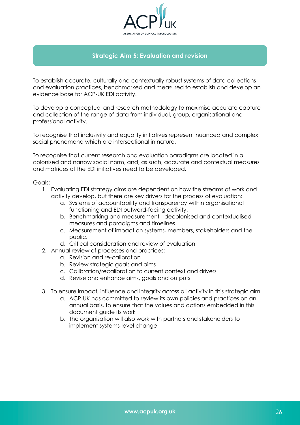

#### **Strategic Aim 5: Evaluation and revision**

To establish accurate, culturally and contextually robust systems of data collections and evaluation practices, benchmarked and measured to establish and develop an evidence base for ACP-UK EDI activity.

To develop a conceptual and research methodology to maximise accurate capture and collection of the range of data from individual, group, organisational and professional activity.

To recognise that inclusivity and equality initiatives represent nuanced and complex social phenomena which are intersectional in nature.

To recognise that current research and evaluation paradigms are located in a colonised and narrow social norm, and, as such, accurate and contextual measures and matrices of the EDI initiatives need to be developed.

- 1. Evaluating EDI strategy aims are dependent on how the streams of work and activity develop, but there are key drivers for the process of evaluation:
	- a. Systems of accountability and transparency within organisational functioning and EDI outward-facing activity.
	- b. Benchmarking and measurement decolonised and contextualised measures and paradigms and timelines
	- c. Measurement of impact on systems, members, stakeholders and the public.
	- d. Critical consideration and review of evaluation
- 2. Annual review of processes and practices:
	- a. Revision and re-calibration
	- b. Review strategic goals and aims
	- c. Calibration/recalibration to current context and drivers
	- d. Revise and enhance aims, goals and outputs
- 3. To ensure impact, influence and integrity across all activity in this strategic aim.
	- a. ACP-UK has committed to review its own policies and practices on an annual basis, to ensure that the values and actions embedded in this document guide its work
	- b. The organisation will also work with partners and stakeholders to implement systems-level change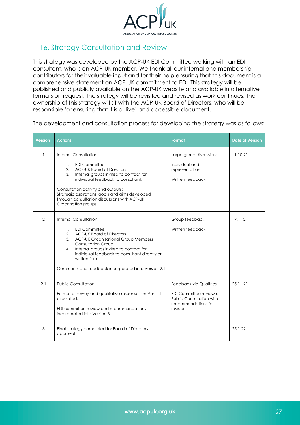<span id="page-28-1"></span>

## <span id="page-28-0"></span>16. Strategy Consultation and Review

This strategy was developed by the ACP-UK EDI Committee working with an EDI consultant, who is an ACP-UK member. We thank all our internal and membership contributors for their valuable input and for their help ensuring that this document is a comprehensive statement on ACP-UK commitment to EDI. This strategy will be published and publicly available on the ACP-UK website and available in alternative formats on request. The strategy will be revisited and revised as work continues. The ownership of this strategy will sit with the ACP-UK Board of Directors, who will be responsible for ensuring that it is a 'live' and accessible document.

The development and consultation process for developing the strategy was as follows:

| <b>Version</b> | <b>Actions</b>                                                                                                                                                                                                                                                                                                                                                             | Format                                                                                                                           | <b>Date of Version</b> |
|----------------|----------------------------------------------------------------------------------------------------------------------------------------------------------------------------------------------------------------------------------------------------------------------------------------------------------------------------------------------------------------------------|----------------------------------------------------------------------------------------------------------------------------------|------------------------|
| 1              | Internal Consultation:<br><b>EDI Committee</b><br>1.<br><b>ACP-UK Board of Directors</b><br>2.<br>3.<br>Internal groups invited to contact for<br>individual feedback to consultant.<br>Consultation activity and outputs:<br>Strategic aspirations, goals and aims developed<br>through consultation discussions with ACP-UK<br>Organisation groups                       | Large group discussions<br>Individual and<br>representative<br>Written feedback                                                  | 11.10.21               |
| $\overline{2}$ | <b>Internal Consultation</b><br><b>EDI Committee</b><br>$\mathbf{1}$ .<br><b>ACP-UK Board of Directors</b><br>2.<br><b>ACP-UK Organisational Group Members</b><br>3.<br><b>Consultation Group</b><br>Internal groups invited to contact for<br>4.<br>individual feedback to consultant directly or<br>written form.<br>Comments and feedback incorporated into Version 2.1 | Group feedback<br>Written feedback                                                                                               | 19.11.21               |
| 2.1            | <b>Public Consultation</b><br>Format of survey and qualitative responses on Ver. 2.1<br>circulated.<br>EDI committee review and recommendations<br>incorporated into Version 3.                                                                                                                                                                                            | <b>Feedback via Qualtrics</b><br>EDI Committee review of<br><b>Public Consultation with</b><br>recommendations for<br>revisions. | 25.11.21               |
| 3              | Final strategy completed for Board of Directors<br>approval                                                                                                                                                                                                                                                                                                                |                                                                                                                                  | 25.1.22                |